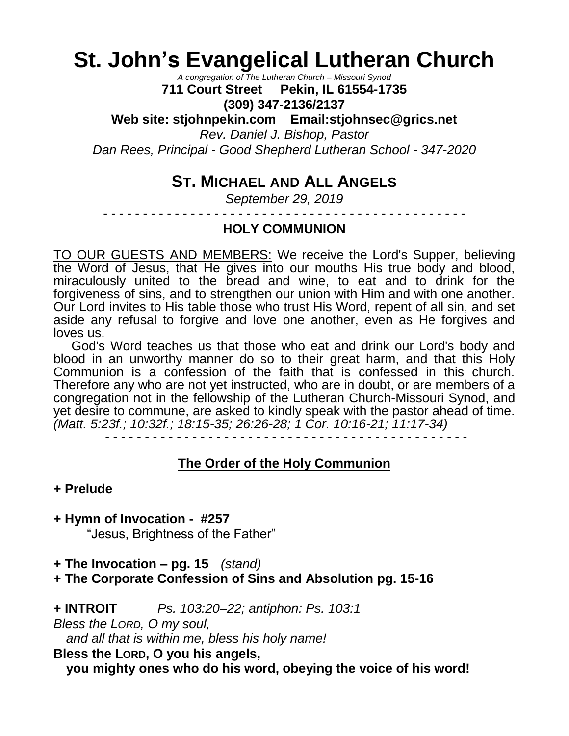# **St. John's Evangelical Lutheran Church**

*A congregation of The Lutheran Church – Missouri Synod*

**711 Court Street Pekin, IL 61554-1735**

**(309) 347-2136/2137**

**Web site: stjohnpekin.com Email:stjohnsec@grics.net** *Rev. Daniel J. Bishop, Pastor Dan Rees, Principal - Good Shepherd Lutheran School - 347-2020*

### **ST. MICHAEL AND ALL ANGELS**

*September 29, 2019*

- - - - - - - - - - - - - - - - - - - - - - - - - - - - - - - - - - - - - - - - - - - - - -

### **HOLY COMMUNION**

TO OUR GUESTS AND MEMBERS: We receive the Lord's Supper, believing the Word of Jesus, that He gives into our mouths His true body and blood, miraculously united to the bread and wine, to eat and to drink for the forgiveness of sins, and to strengthen our union with Him and with one another. Our Lord invites to His table those who trust His Word, repent of all sin, and set aside any refusal to forgive and love one another, even as He forgives and loves us.

 God's Word teaches us that those who eat and drink our Lord's body and blood in an unworthy manner do so to their great harm, and that this Holy Communion is a confession of the faith that is confessed in this church. Therefore any who are not yet instructed, who are in doubt, or are members of a congregation not in the fellowship of the Lutheran Church-Missouri Synod, and yet desire to commune, are asked to kindly speak with the pastor ahead of time. *(Matt. 5:23f.; 10:32f.; 18:15-35; 26:26-28; 1 Cor. 10:16-21; 11:17-34)*

- - - - - - - - - - - - - - - - - - - - - - - - - - - - - - - - - - - - - - - - - - - - - -

### **The Order of the Holy Communion**

### **+ Prelude**

**+ Hymn of Invocation - #257**

"Jesus, Brightness of the Father"

**+ The Invocation – pg. 15** *(stand)*

**+ The Corporate Confession of Sins and Absolution pg. 15-16**

**+ INTROIT** *Ps. 103:20–22; antiphon: Ps. 103:1*

*Bless the LORD, O my soul,*

*and all that is within me, bless his holy name!*

**Bless the LORD, O you his angels,**

**you mighty ones who do his word, obeying the voice of his word!**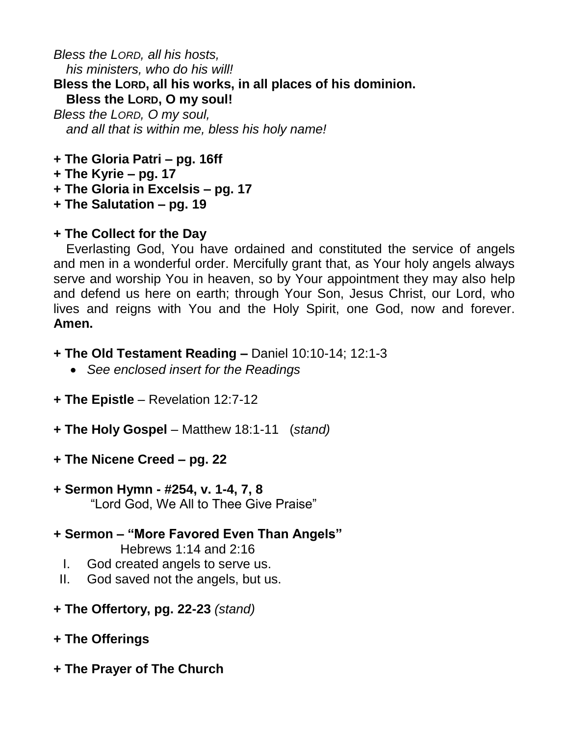*Bless the LORD, all his hosts, his ministers, who do his will!* **Bless the LORD, all his works, in all places of his dominion. Bless the LORD, O my soul!** *Bless the LORD, O my soul,*

*and all that is within me, bless his holy name!*

- **+ The Gloria Patri – pg. 16ff**
- **+ The Kyrie – pg. 17**
- **+ The Gloria in Excelsis – pg. 17**
- **+ The Salutation – pg. 19**

### **+ The Collect for the Day**

Everlasting God, You have ordained and constituted the service of angels and men in a wonderful order. Mercifully grant that, as Your holy angels always serve and worship You in heaven, so by Your appointment they may also help and defend us here on earth; through Your Son, Jesus Christ, our Lord, who lives and reigns with You and the Holy Spirit, one God, now and forever. **Amen.**

- **+ The Old Testament Reading –** Daniel 10:10-14; 12:1-3
	- *See enclosed insert for the Readings*
- **+ The Epistle** Revelation 12:7-12
- **+ The Holy Gospel** Matthew 18:1-11 (*stand)*
- **+ The Nicene Creed – pg. 22**

## **+ Sermon Hymn - #254, v. 1-4, 7, 8**

- "Lord God, We All to Thee Give Praise"
- **+ Sermon – "More Favored Even Than Angels"** Hebrews 1:14 and 2:16
	- I. God created angels to serve us.
- II. God saved not the angels, but us.
- **+ The Offertory, pg. 22-23** *(stand)*
- **+ The Offerings**
- **+ The Prayer of The Church**